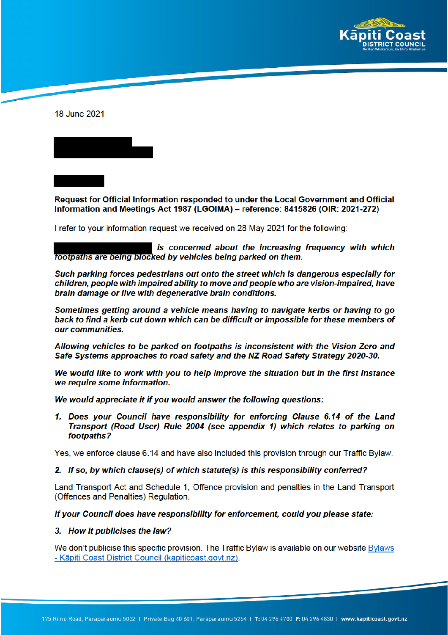

18 June 2021

Request for Official Information responded to under the Local Government and Official Information and Meetings Act 1987 (LGOIMA) - reference: 8415826 (OIR: 2021-272)

I refer to your information request we received on 28 May 2021 for the following:

is concerned about the increasing frequency with which footpaths are being blocked by vehicles being parked on them.

Such parking forces pedestrians out onto the street which is dangerous especially for children, people with impaired ability to move and people who are vision-impaired, have brain damage or live with degenerative brain conditions.

Sometimes getting around a vehicle means having to navigate kerbs or having to go back to find a kerb cut down which can be difficult or impossible for these members of our communities.

Allowing vehicles to be parked on footpaths is inconsistent with the Vision Zero and Safe Systems approaches to road safety and the NZ Road Safety Strategy 2020-30.

We would like to work with you to help improve the situation but in the first instance we require some information.

We would appreciate it if you would answer the following questions:

1. Does your Council have responsibility for enforcing Clause 6.14 of the Land Transport (Road User) Rule 2004 (see appendix 1) which relates to parking on footpaths?

Yes, we enforce clause 6.14 and have also included this provision through our Traffic Bylaw.

#### 2. If so, by which clause(s) of which statute(s) is this responsibility conferred?

Land Transport Act and Schedule 1, Offence provision and penalties in the Land Transport (Offences and Penalties) Regulation.

If your Council does have responsibility for enforcement, could you please state:

#### 3. How it publicises the law?

We don't publicise this specific provision. The Traffic Bylaw is available on our website Bylaws - Kāpiti Coast District Council (kapiticoast.govt.nz).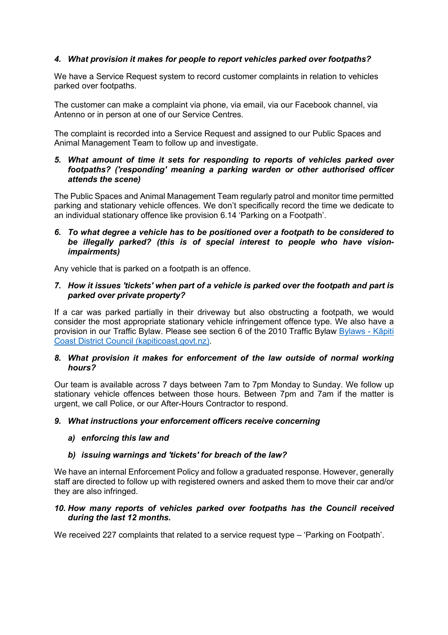# *4. What provision it makes for people to report vehicles parked over footpaths?*

We have a Service Request system to record customer complaints in relation to vehicles parked over footpaths.

The customer can make a complaint via phone, via email, via our Facebook channel, via Antenno or in person at one of our Service Centres.

The complaint is recorded into a Service Request and assigned to our Public Spaces and Animal Management Team to follow up and investigate.

*5. What amount of time it sets for responding to reports of vehicles parked over footpaths? ('responding' meaning a parking warden or other authorised officer attends the scene)*

The Public Spaces and Animal Management Team regularly patrol and monitor time permitted parking and stationary vehicle offences. We don't specifically record the time we dedicate to an individual stationary offence like provision 6.14 'Parking on a Footpath'.

## *6. To what degree a vehicle has to be positioned over a footpath to be considered to be illegally parked? (this is of special interest to people who have visionimpairments)*

Any vehicle that is parked on a footpath is an offence.

## *7. How it issues 'tickets' when part of a vehicle is parked over the footpath and part is parked over private property?*

If a car was parked partially in their driveway but also obstructing a footpath, we would consider the most appropriate stationary vehicle infringement offence type. We also have a provision in our Traffic Bylaw. Please see section 6 of the 2010 Traffic Bylaw Bylaws - Kāpiti Coast District Council (kapiticoast.govt.nz).

#### *8. What provision it makes for enforcement of the law outside of normal working hours?*

Our team is available across 7 days between 7am to 7pm Monday to Sunday. We follow up stationary vehicle offences between those hours. Between 7pm and 7am if the matter is urgent, we call Police, or our After-Hours Contractor to respond.

## *9. What instructions your enforcement officers receive concerning*

## *a) enforcing this law and*

## *b) issuing warnings and 'tickets' for breach of the law?*

We have an internal Enforcement Policy and follow a graduated response. However, generally staff are directed to follow up with registered owners and asked them to move their car and/or they are also infringed.

#### *10. How many reports of vehicles parked over footpaths has the Council received during the last 12 months.*

We received 227 complaints that related to a service request type – 'Parking on Footpath'.